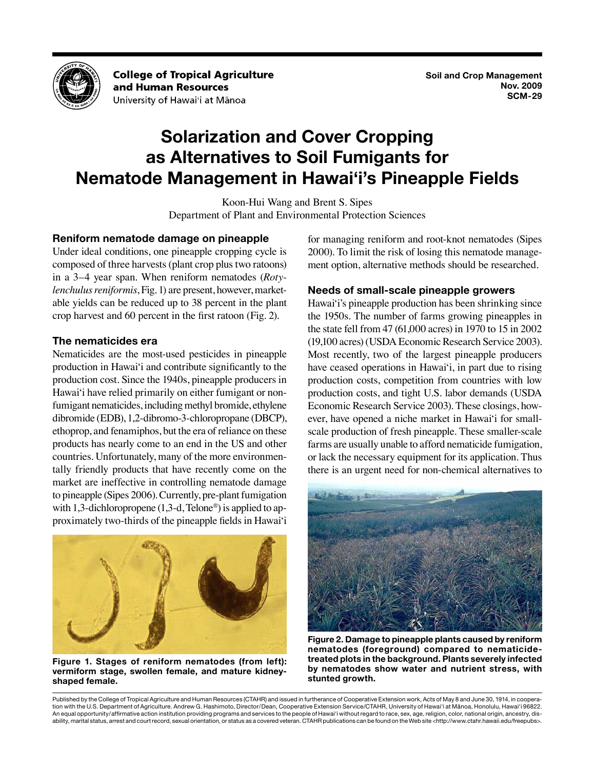

**College of Tropical Agriculture** and Human Resources University of Hawai'i at Mānoa

# **Solarization and Cover Cropping as Alternatives to Soil Fumigants for Nematode Management in Hawai'i's Pineapple Fields**

Koon-Hui Wang and Brent S. Sipes Department of Plant and Environmental Protection Sciences

# **Reniform nematode damage on pineapple**

Under ideal conditions, one pineapple cropping cycle is composed of three harvests (plant crop plus two ratoons) in a 3–4 year span. When reniform nematodes (*Rotylenchulus reniformis*, Fig. 1) are present, however, marketable yields can be reduced up to 38 percent in the plant crop harvest and 60 percent in the first ratoon (Fig. 2).

# **The nematicides era**

Nematicides are the most-used pesticides in pineapple production in Hawai'i and contribute significantly to the production cost. Since the 1940s, pineapple producers in Hawai'i have relied primarily on either fumigant or nonfumigant nematicides, including methyl bromide, ethylene dibromide (EDB), 1,2-dibromo-3-chloropropane (DBCP), ethoprop, and fenamiphos, but the era of reliance on these products has nearly come to an end in the US and other countries. Unfortunately, many of the more environmentally friendly products that have recently come on the market are ineffective in controlling nematode damage to pineapple (Sipes 2006). Currently, pre-plant fumigation with 1,3-dichloropropene  $(1,3-d, \text{Te}$ lone<sup>®</sup>) is applied to approximately two-thirds of the pineapple fields in Hawai'i



**Figure 1. Stages of reniform nematodes (from left): vermiform stage, swollen female, and mature kidneyshaped female.**

for managing reniform and root-knot nematodes (Sipes 2000). To limit the risk of losing this nematode management option, alternative methods should be researched.

# **Needs of small-scale pineapple growers**

Hawai'i's pineapple production has been shrinking since the 1950s. The number of farms growing pineapples in the state fell from 47 (61,000 acres) in 1970 to 15 in 2002 (19,100 acres) (USDA Economic Research Service 2003). Most recently, two of the largest pineapple producers have ceased operations in Hawai'i, in part due to rising production costs, competition from countries with low production costs, and tight U.S. labor demands (USDA Economic Research Service 2003). These closings, however, have opened a niche market in Hawai'i for smallscale production of fresh pineapple. These smaller-scale farms are usually unable to afford nematicide fumigation, or lack the necessary equipment for its application. Thus there is an urgent need for non-chemical alternatives to



**Figure 2. Damage to pineapple plants caused by reniform nematodes (foreground) compared to nematicidetreated plots in the background. Plants severely infected by nematodes show water and nutrient stress, with stunted growth.**

Published by the College of Tropical Agriculture and Human Resources (CTAHR) and issued in furtherance of Cooperative Extension work, Acts of May 8 and June 30, 1914, in cooperation with the U.S. Department of Agriculture. Andrew G. Hashimoto, Director/Dean, Cooperative Extension Service/CTAHR, University of Hawai'i at Mānoa, Honolulu, Hawai'i 96822. An equal opportunity/affirmative action institution providing programs and services to the people of Hawai'i without regard to race, sex, age, religion, color, national origin, ancestry, disability, marital status, arrest and court record, sexual orientation, or status as a covered veteran. CTAHR publications can be found on the Web site <http://www.ctahr.hawaii.edu/freepubs>.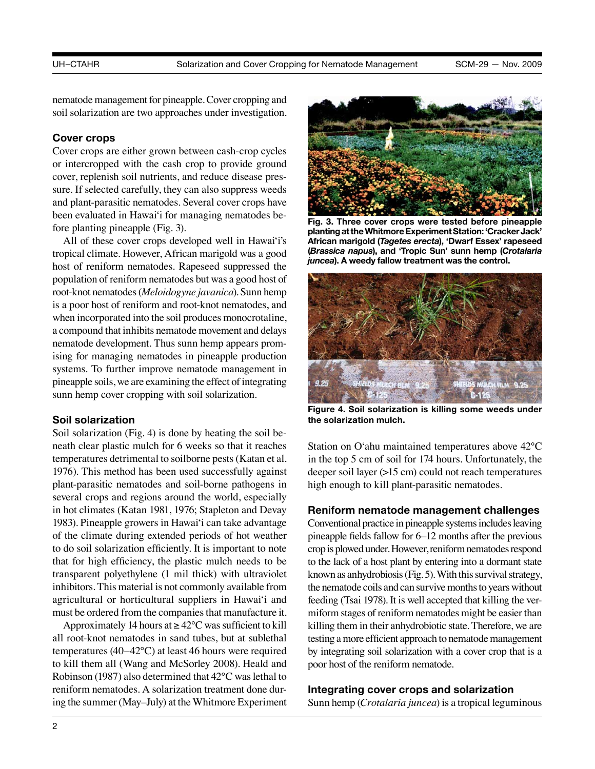nematode management for pineapple. Cover cropping and soil solarization are two approaches under investigation.

### **Cover crops**

Cover crops are either grown between cash-crop cycles or intercropped with the cash crop to provide ground cover, replenish soil nutrients, and reduce disease pressure. If selected carefully, they can also suppress weeds and plant-parasitic nematodes. Several cover crops have been evaluated in Hawai'i for managing nematodes before planting pineapple (Fig. 3).

All of these cover crops developed well in Hawai'i's tropical climate. However, African marigold was a good host of reniform nematodes. Rapeseed suppressed the population of reniform nematodes but was a good host of root-knot nematodes (*Meloidogyne javanica*). Sunn hemp is a poor host of reniform and root-knot nematodes, and when incorporated into the soil produces monocrotaline, a compound that inhibits nematode movement and delays nematode development. Thus sunn hemp appears promising for managing nematodes in pineapple production systems. To further improve nematode management in pineapple soils, we are examining the effect of integrating sunn hemp cover cropping with soil solarization.

### **Soil solarization**

Soil solarization (Fig. 4) is done by heating the soil beneath clear plastic mulch for 6 weeks so that it reaches temperatures detrimental to soilborne pests (Katan et al. 1976). This method has been used successfully against plant-parasitic nematodes and soil-borne pathogens in several crops and regions around the world, especially in hot climates (Katan 1981, 1976; Stapleton and Devay 1983). Pineapple growers in Hawai'i can take advantage of the climate during extended periods of hot weather to do soil solarization efficiently. It is important to note that for high efficiency, the plastic mulch needs to be transparent polyethylene (1 mil thick) with ultraviolet inhibitors. This material is not commonly available from agricultural or horticultural suppliers in Hawai'i and must be ordered from the companies that manufacture it.

Approximately 14 hours at  $\geq 42^{\circ}$ C was sufficient to kill all root-knot nematodes in sand tubes, but at sublethal temperatures (40–42°C) at least 46 hours were required to kill them all (Wang and McSorley 2008). Heald and Robinson (1987) also determined that 42°C was lethal to reniform nematodes. A solarization treatment done during the summer (May–July) at the Whitmore Experiment



**Fig. 3. Three cover crops were tested before pineapple planting at the Whitmore Experiment Station: 'Cracker Jack' African marigold (***Tagetes erecta***), 'Dwarf Essex' rapeseed (***Brassica napus***), and 'Tropic Sun' sunn hemp (***Crotalaria juncea***). A weedy fallow treatment was the control.**



**Figure 4. Soil solarization is killing some weeds under the solarization mulch.**

Station on O'ahu maintained temperatures above 42°C in the top 5 cm of soil for 174 hours. Unfortunately, the deeper soil layer (>15 cm) could not reach temperatures high enough to kill plant-parasitic nematodes.

### **Reniform nematode management challenges**

Conventional practice in pineapple systems includes leaving pineapple fields fallow for 6–12 months after the previous crop is plowed under. However, reniform nematodes respond to the lack of a host plant by entering into a dormant state known as anhydrobiosis (Fig. 5). With this survival strategy, the nematode coils and can survive months to years without feeding (Tsai 1978). It is well accepted that killing the vermiform stages of reniform nematodes might be easier than killing them in their anhydrobiotic state. Therefore, we are testing a more efficient approach to nematode management by integrating soil solarization with a cover crop that is a poor host of the reniform nematode.

### **Integrating cover crops and solarization**

Sunn hemp (*Crotalaria juncea*) is a tropical leguminous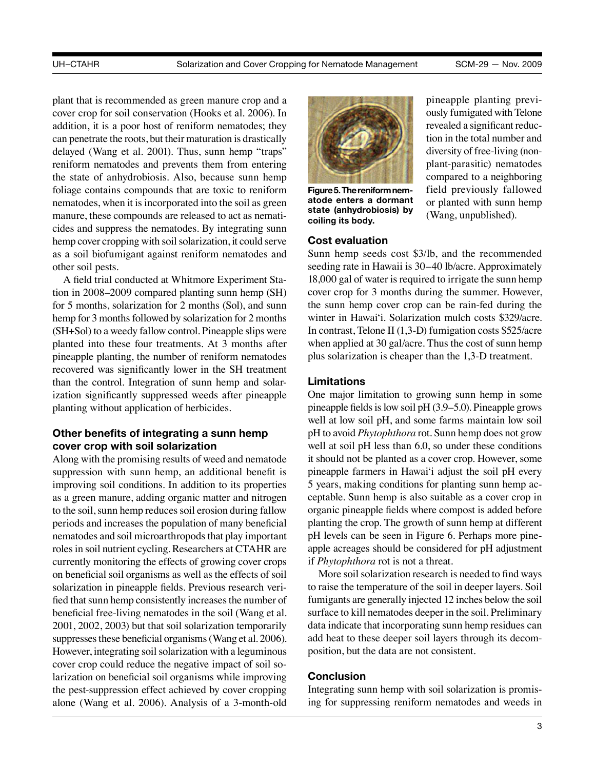plant that is recommended as green manure crop and a cover crop for soil conservation (Hooks et al. 2006). In addition, it is a poor host of reniform nematodes; they can penetrate the roots, but their maturation is drastically delayed (Wang et al. 2001). Thus, sunn hemp "traps" reniform nematodes and prevents them from entering the state of anhydrobiosis. Also, because sunn hemp foliage contains compounds that are toxic to reniform nematodes, when it is incorporated into the soil as green manure, these compounds are released to act as nematicides and suppress the nematodes. By integrating sunn hemp cover cropping with soil solarization, it could serve as a soil biofumigant against reniform nematodes and other soil pests.

A field trial conducted at Whitmore Experiment Station in 2008–2009 compared planting sunn hemp (SH) for 5 months, solarization for 2 months (Sol), and sunn hemp for 3 months followed by solarization for 2 months (SH+Sol) to a weedy fallow control. Pineapple slips were planted into these four treatments. At 3 months after pineapple planting, the number of reniform nematodes recovered was significantly lower in the SH treatment than the control. Integration of sunn hemp and solarization significantly suppressed weeds after pineapple planting without application of herbicides.

# **Other benefits of integrating a sunn hemp cover crop with soil solarization**

Along with the promising results of weed and nematode suppression with sunn hemp, an additional benefit is improving soil conditions. In addition to its properties as a green manure, adding organic matter and nitrogen to the soil, sunn hemp reduces soil erosion during fallow periods and increases the population of many beneficial nematodes and soil microarthropods that play important roles in soil nutrient cycling. Researchers at CTAHR are currently monitoring the effects of growing cover crops on beneficial soil organisms as well as the effects of soil solarization in pineapple fields. Previous research verified that sunn hemp consistently increases the number of beneficial free-living nematodes in the soil (Wang et al. 2001, 2002, 2003) but that soil solarization temporarily suppresses these beneficial organisms (Wang et al. 2006). However, integrating soil solarization with a leguminous cover crop could reduce the negative impact of soil solarization on beneficial soil organisms while improving the pest-suppression effect achieved by cover cropping alone (Wang et al. 2006). Analysis of a 3-month-old



**Figure 5. The reniform nematode enters a dormant state (anhydrobiosis) by coiling its body.**

### **Cost evaluation**

pineapple planting previously fumigated with Telone revealed a significant reduction in the total number and diversity of free-living (nonplant-parasitic) nematodes compared to a neighboring field previously fallowed or planted with sunn hemp (Wang, unpublished).

Sunn hemp seeds cost \$3/lb, and the recommended seeding rate in Hawaii is 30–40 lb/acre. Approximately 18,000 gal of water is required to irrigate the sunn hemp cover crop for 3 months during the summer. However, the sunn hemp cover crop can be rain-fed during the winter in Hawai'i. Solarization mulch costs \$329/acre. In contrast, Telone II (1,3-D) fumigation costs \$525/acre when applied at 30 gal/acre. Thus the cost of sunn hemp plus solarization is cheaper than the 1,3-D treatment.

### **Limitations**

One major limitation to growing sunn hemp in some pineapple fields is low soil pH (3.9–5.0). Pineapple grows well at low soil pH, and some farms maintain low soil pH to avoid *Phytophthora* rot. Sunn hemp does not grow well at soil pH less than 6.0, so under these conditions it should not be planted as a cover crop. However, some pineapple farmers in Hawai'i adjust the soil pH every 5 years, making conditions for planting sunn hemp acceptable. Sunn hemp is also suitable as a cover crop in organic pineapple fields where compost is added before planting the crop. The growth of sunn hemp at different pH levels can be seen in Figure 6. Perhaps more pineapple acreages should be considered for pH adjustment if *Phytophthora* rot is not a threat.

More soil solarization research is needed to find ways to raise the temperature of the soil in deeper layers. Soil fumigants are generally injected 12 inches below the soil surface to kill nematodes deeper in the soil. Preliminary data indicate that incorporating sunn hemp residues can add heat to these deeper soil layers through its decomposition, but the data are not consistent.

### **Conclusion**

Integrating sunn hemp with soil solarization is promising for suppressing reniform nematodes and weeds in